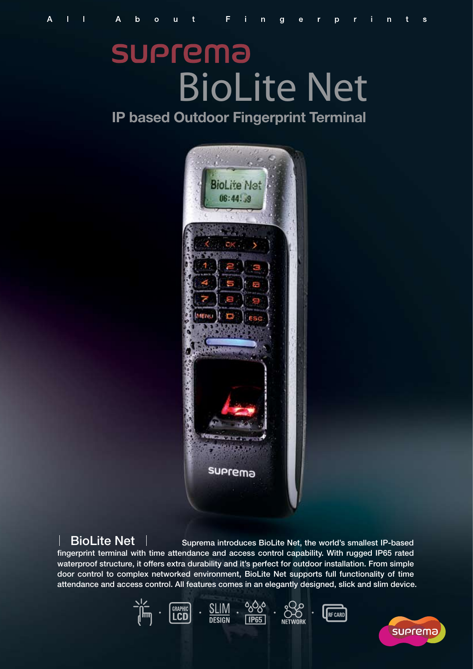# **SUPrema** BioLite Net

**IP based Outdoor Fingerprint Terminal**



BioLite Net | Suprema introduces BioLite Net, the world's smallest IP-based fingerprint terminal with time attendance and access control capability. With rugged IP65 rated waterproof structure, it offers extra durability and it's perfect for outdoor installation. From simple door control to complex networked environment, BioLite Net supports full functionality of time attendance and access control. All features comes in an elegantly designed, slick and slim device.